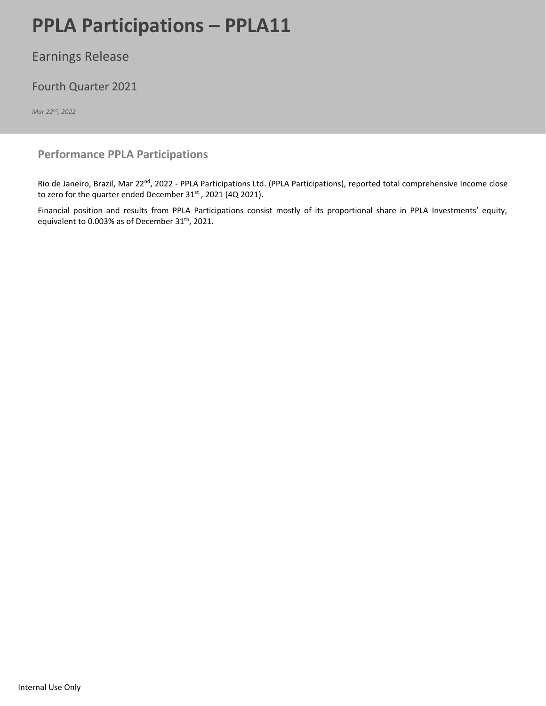# **PPLA Participations – PPLA11** Page 12021 Page 12021 Page 12021 Page 12021 Page 12021 Page 12021 Page 12021 Page 12021 Page 12021 Page 12021 Page 12021 Page 12021 Page 12021 Page 12021 Page 12021 Page 12021 Page 12021 Page

## Earnings Release

## Fourth Quarter 2021

*Mar 22 nd, 2022*

### **Performance PPLA Participations**

Rio de Janeiro, Brazil, Mar 22<sup>nd</sup>, 2022 - PPLA Participations Ltd. (PPLA Participations), reported total comprehensive Income close to zero for the quarter ended December 31<sup>st</sup>, 2021 (4Q 2021).

Financial position and results from PPLA Participations consist mostly of its proportional share in PPLA Investments' equity, equivalent to 0.003% as of December 31<sup>th</sup>, 2021.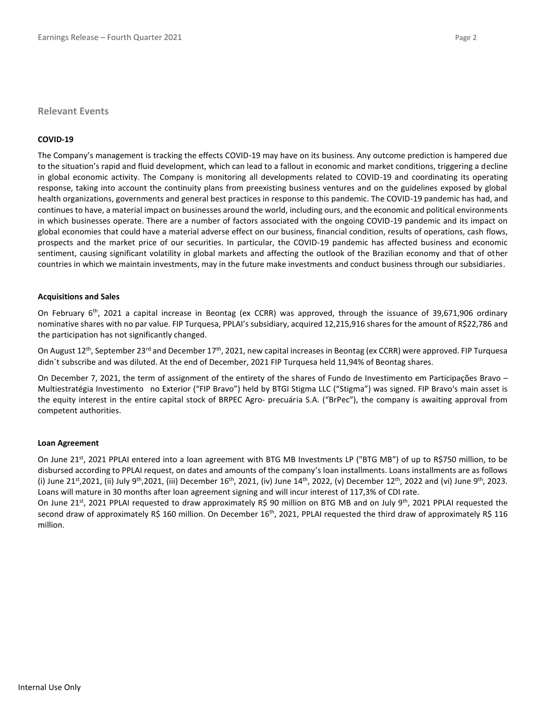#### **Relevant Events**

#### **COVID-19**

The Company's management is tracking the effects COVID-19 may have on its business. Any outcome prediction is hampered due to the situation's rapid and fluid development, which can lead to a fallout in economic and market conditions, triggering a decline in global economic activity. The Company is monitoring all developments related to COVID-19 and coordinating its operating response, taking into account the continuity plans from preexisting business ventures and on the guidelines exposed by global health organizations, governments and general best practices in response to this pandemic. The COVID-19 pandemic has had, and continues to have, a material impact on businesses around the world, including ours, and the economic and political environments in which businesses operate. There are a number of factors associated with the ongoing COVID-19 pandemic and its impact on global economies that could have a material adverse effect on our business, financial condition, results of operations, cash flows, prospects and the market price of our securities. In particular, the COVID-19 pandemic has affected business and economic sentiment, causing significant volatility in global markets and affecting the outlook of the Brazilian economy and that of other countries in which we maintain investments, may in the future make investments and conduct business through our subsidiaries.

#### **Acquisitions and Sales**

On February 6<sup>th</sup>, 2021 a capital increase in Beontag (ex CCRR) was approved, through the issuance of 39,671,906 ordinary nominative shares with no par value. FIP Turquesa, PPLAI's subsidiary, acquired 12,215,916 shares for the amount of R\$22,786 and the participation has not significantly changed.

On August 12<sup>th</sup>, September 23<sup>rd</sup> and December 17<sup>th</sup>, 2021, new capital increases in Beontag (ex CCRR) were approved. FIP Turquesa didn`t subscribe and was diluted. At the end of December, 2021 FIP Turquesa held 11,94% of Beontag shares.

On December 7, 2021, the term of assignment of the entirety of the shares of Fundo de Investimento em Participações Bravo – Multiestratégia Investimento no Exterior ("FIP Bravo") held by BTGI Stigma LLC ("Stigma") was signed. FIP Bravo's main asset is the equity interest in the entire capital stock of BRPEC Agro‐ precuária S.A. ("BrPec"), the company is awaiting approval from competent authorities.

#### **Loan Agreement**

On June 21<sup>st</sup>, 2021 PPLAI entered into a loan agreement with BTG MB Investments LP ("BTG MB") of up to R\$750 million, to be disbursed according to PPLAI request, on dates and amounts of the company's loan installments. Loans installments are as follows (i) June 21<sup>st</sup>,2021, (ii) July 9<sup>th</sup>,2021, (iii) December 16<sup>th</sup>, 2021, (iv) June 14<sup>th</sup>, 2022, (v) December 12<sup>th</sup>, 2022 and (vi) June 9<sup>th</sup>, 2023. Loans will mature in 30 months after loan agreement signing and will incur interest of 117,3% of CDI rate.

On June 21<sup>st</sup>, 2021 PPLAI requested to draw approximately R\$ 90 million on BTG MB and on July 9<sup>th</sup>, 2021 PPLAI requested the second draw of approximately R\$ 160 million. On December  $16<sup>th</sup>$ , 2021, PPLAI requested the third draw of approximately R\$ 116 million.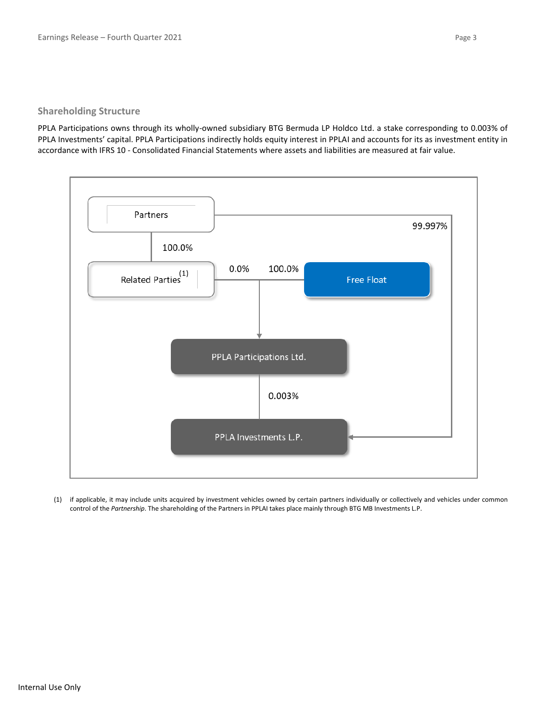#### **Shareholding Structure**

PPLA Participations owns through its wholly-owned subsidiary BTG Bermuda LP Holdco Ltd. a stake corresponding to 0.003% of PPLA Investments' capital. PPLA Participations indirectly holds equity interest in PPLAI and accounts for its as investment entity in accordance with IFRS 10 - Consolidated Financial Statements where assets and liabilities are measured at fair value.



(1) if applicable, it may include units acquired by investment vehicles owned by certain partners individually or collectively and vehicles under common control of the *Partnership*. The shareholding of the Partners in PPLAI takes place mainly through BTG MB Investments L.P.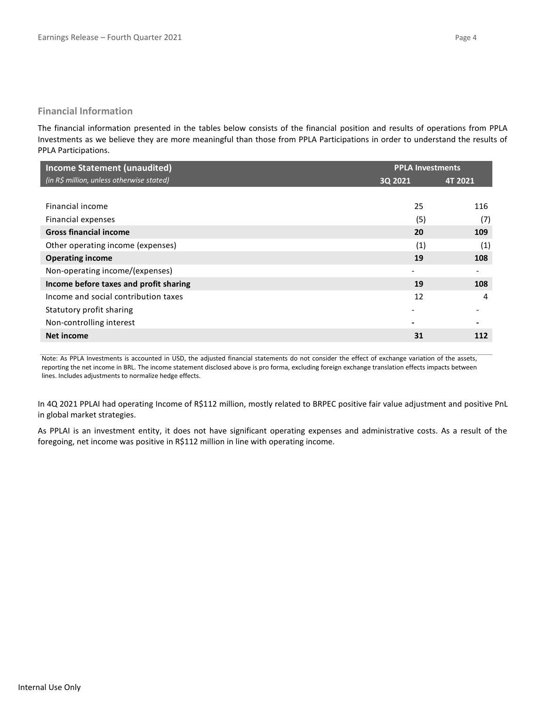#### **Financial Information**

The financial information presented in the tables below consists of the financial position and results of operations from PPLA Investments as we believe they are more meaningful than those from PPLA Participations in order to understand the results of PPLA Participations.

| <b>Income Statement (unaudited)</b>       | <b>PPLA Investments</b> |         |  |
|-------------------------------------------|-------------------------|---------|--|
| (in R\$ million, unless otherwise stated) | 3Q 2021                 | 4T 2021 |  |
|                                           |                         |         |  |
| Financial income                          | 25                      | 116     |  |
| Financial expenses                        | (5)                     | (7)     |  |
| <b>Gross financial income</b>             | 20                      | 109     |  |
| Other operating income (expenses)         | (1)                     | (1)     |  |
| <b>Operating income</b>                   | 19                      | 108     |  |
| Non-operating income/(expenses)           |                         |         |  |
| Income before taxes and profit sharing    | 19                      | 108     |  |
| Income and social contribution taxes      | 12                      | 4       |  |
| Statutory profit sharing                  |                         |         |  |
| Non-controlling interest                  |                         |         |  |
| Net income                                | 31                      | 112     |  |

Note: As PPLA Investments is accounted in USD, the adjusted financial statements do not consider the effect of exchange variation of the assets, reporting the net income in BRL. The income statement disclosed above is pro forma, excluding foreign exchange translation effects impacts between lines. Includes adjustments to normalize hedge effects.

In 4Q 2021 PPLAI had operating Income of R\$112 million, mostly related to BRPEC positive fair value adjustment and positive PnL in global market strategies.

As PPLAI is an investment entity, it does not have significant operating expenses and administrative costs. As a result of the foregoing, net income was positive in R\$112 million in line with operating income.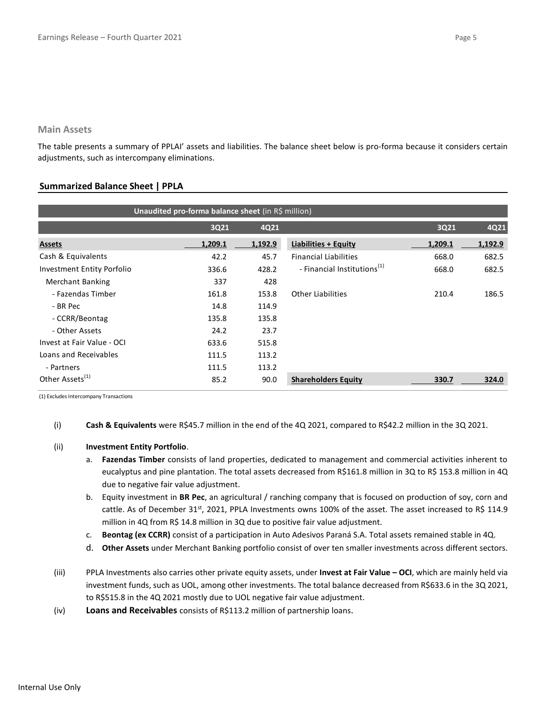#### **Main Assets**

The table presents a summary of PPLAI' assets and liabilities. The balance sheet below is pro-forma because it considers certain adjustments, such as intercompany eliminations.

#### **Summarized Balance Sheet | PPLA**

| Unaudited pro-forma balance sheet (in R\$ million) |         |         |                                         |         |         |  |  |
|----------------------------------------------------|---------|---------|-----------------------------------------|---------|---------|--|--|
|                                                    | 3Q21    | 4Q21    |                                         | 3Q21    | 4Q21    |  |  |
| <b>Assets</b>                                      | 1,209.1 | 1,192.9 | <b>Liabilities + Equity</b>             | 1,209.1 | 1,192.9 |  |  |
| Cash & Equivalents                                 | 42.2    | 45.7    | <b>Financial Liabilities</b>            | 668.0   | 682.5   |  |  |
| Investment Entity Porfolio                         | 336.6   | 428.2   | - Financial Institutions <sup>(1)</sup> | 668.0   | 682.5   |  |  |
| <b>Merchant Banking</b>                            | 337     | 428     |                                         |         |         |  |  |
| - Fazendas Timber                                  | 161.8   | 153.8   | <b>Other Liabilities</b>                | 210.4   | 186.5   |  |  |
| - BR Pec                                           | 14.8    | 114.9   |                                         |         |         |  |  |
| - CCRR/Beontag                                     | 135.8   | 135.8   |                                         |         |         |  |  |
| - Other Assets                                     | 24.2    | 23.7    |                                         |         |         |  |  |
| Invest at Fair Value - OCI                         | 633.6   | 515.8   |                                         |         |         |  |  |
| Loans and Receivables                              | 111.5   | 113.2   |                                         |         |         |  |  |
| - Partners                                         | 111.5   | 113.2   |                                         |         |         |  |  |
| Other Assets <sup>(1)</sup>                        | 85.2    | 90.0    | <b>Shareholders Equity</b>              | 330.7   | 324.0   |  |  |

(1) Excludes Intercompany Transactions

(i) **Cash & Equivalents** were R\$45.7 million in the end of the 4Q 2021, compared to R\$42.2 million in the 3Q 2021.

#### (ii) **Investment Entity Portfolio**.

- a. **Fazendas Timber** consists of land properties, dedicated to management and commercial activities inherent to eucalyptus and pine plantation. The total assets decreased from R\$161.8 million in 3Q to R\$ 153.8 million in 4Q due to negative fair value adjustment.
- b. Equity investment in **BR Pec**, an agricultural / ranching company that is focused on production of soy, corn and cattle. As of December 31st, 2021, PPLA Investments owns 100% of the asset. The asset increased to R\$ 114.9 million in 4Q from R\$ 14.8 million in 3Q due to positive fair value adjustment.
- c. **Beontag (ex CCRR)** consist of a participation in Auto Adesivos Paraná S.A. Total assets remained stable in 4Q.
- d. **Other Assets** under Merchant Banking portfolio consist of over ten smaller investments across different sectors.
- (iii) PPLA Investments also carries other private equity assets, under **Invest at Fair Value – OCI**, which are mainly held via investment funds, such as UOL, among other investments. The total balance decreased from R\$633.6 in the 3Q 2021, to R\$515.8 in the 4Q 2021 mostly due to UOL negative fair value adjustment.
- (iv) **Loans and Receivables** consists of R\$113.2 million of partnership loans.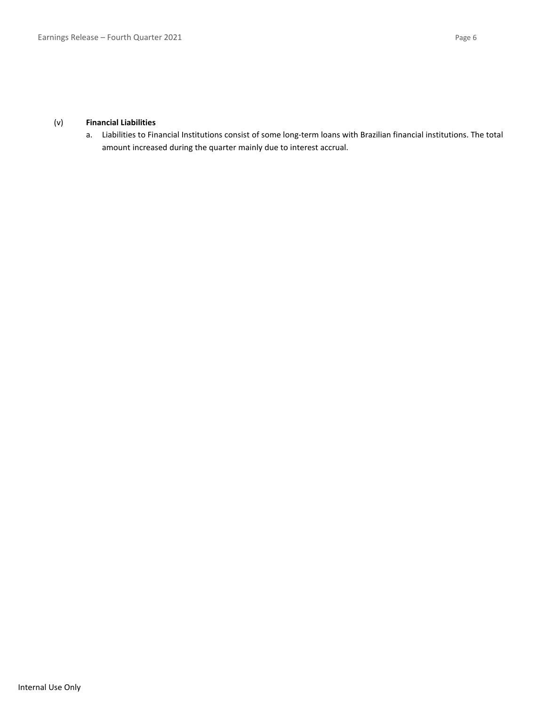a. Liabilities to Financial Institutions consist of some long-term loans with Brazilian financial institutions. The total amount increased during the quarter mainly due to interest accrual.